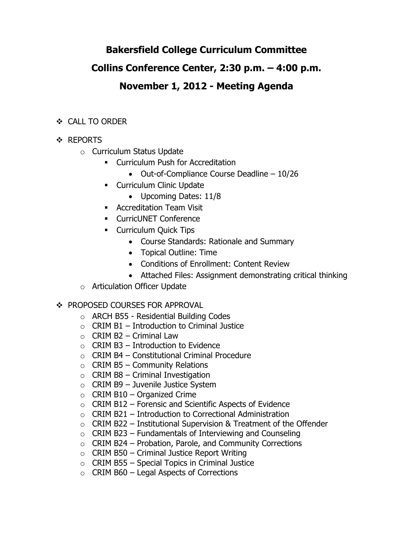# **Bakersfield College Curriculum Committee**

## **Collins Conference Center, 2:30 p.m. – 4:00 p.m.**

# **November 1, 2012 - Meeting Agenda**

### CALL TO ORDER

- ❖ REPORTS
	- o Curriculum Status Update
		- **EXECUTE: Curriculum Push for Accreditation** 
			- Out-of-Compliance Course Deadline 10/26
		- **-** Curriculum Clinic Update
			- Upcoming Dates: 11/8
		- **Accreditation Team Visit**
		- **EXECUTED Conference**
		- **Curriculum Quick Tips** 
			- Course Standards: Rationale and Summary
			- Topical Outline: Time
			- Conditions of Enrollment: Content Review
			- Attached Files: Assignment demonstrating critical thinking
	- o Articulation Officer Update

### ❖ PROPOSED COURSES FOR APPROVAL

- o ARCH B55 Residential Building Codes
- $\circ$  CRIM B1 Introduction to Criminal Justice
- $\circ$  CRIM B2 Criminal Law
- $\circ$  CRIM B3 Introduction to Evidence
- $\circ$  CRIM B4 Constitutional Criminal Procedure
- $\circ$  CRIM B5 Community Relations
- $\circ$  CRIM B8 Criminal Investigation
- $\circ$  CRIM B9 Juvenile Justice System
- $\circ$  CRIM B10 Organized Crime
- $\circ$  CRIM B12 Forensic and Scientific Aspects of Evidence
- $\circ$  CRIM B21 Introduction to Correctional Administration
- $\circ$  CRIM B22 Institutional Supervision & Treatment of the Offender
- $\circ$  CRIM B23 Fundamentals of Interviewing and Counseling
- $\circ$  CRIM B24 Probation, Parole, and Community Corrections
- $\circ$  CRIM B50 Criminal Justice Report Writing
- $\circ$  CRIM B55 Special Topics in Criminal Justice
- $\circ$  CRIM B60 Legal Aspects of Corrections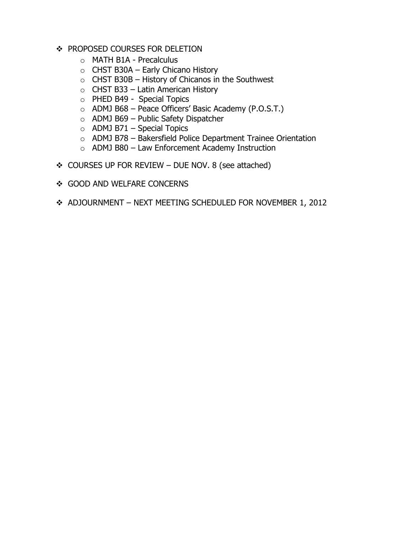- ❖ PROPOSED COURSES FOR DELETION
	- o MATH B1A Precalculus
	- $\circ$  CHST B30A Early Chicano History
	- $\circ$  CHST B30B History of Chicanos in the Southwest
	- $\circ$  CHST B33 Latin American History
	- o PHED B49 Special Topics
	- o ADMJ B68 Peace Officers' Basic Academy (P.O.S.T.)
	- o ADMJ B69 Public Safety Dispatcher
	- $\circ$  ADMJ B71 Special Topics
	- o ADMJ B78 Bakersfield Police Department Trainee Orientation
	- o ADMJ B80 Law Enforcement Academy Instruction
- COURSES UP FOR REVIEW DUE NOV. 8 (see attached)
- ❖ GOOD AND WELFARE CONCERNS
- ADJOURNMENT NEXT MEETING SCHEDULED FOR NOVEMBER 1, 2012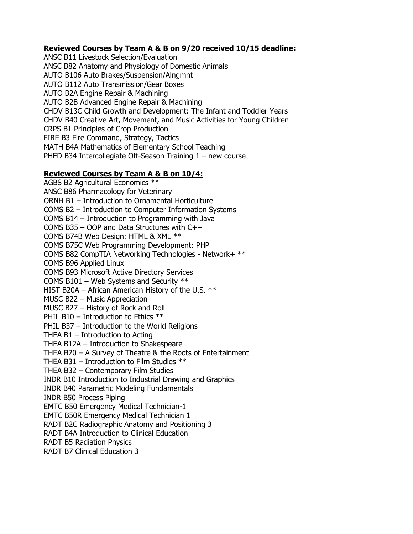#### **Reviewed Courses by Team A & B on 9/20 received 10/15 deadline:**

ANSC B11 Livestock Selection/Evaluation ANSC B82 Anatomy and Physiology of Domestic Animals AUTO B106 Auto Brakes/Suspension/Alngmnt AUTO B112 Auto Transmission/Gear Boxes AUTO B2A Engine Repair & Machining AUTO B2B Advanced Engine Repair & Machining CHDV B13C Child Growth and Development: The Infant and Toddler Years CHDV B40 Creative Art, Movement, and Music Activities for Young Children CRPS B1 Principles of Crop Production FIRE B3 Fire Command, Strategy, Tactics MATH B4A Mathematics of Elementary School Teaching PHED B34 Intercollegiate Off-Season Training 1 – new course

#### **Reviewed Courses by Team A & B on 10/4:**

AGBS B2 Agricultural Economics \*\* ANSC B86 Pharmacology for Veterinary ORNH B1 – Introduction to Ornamental Horticulture COMS B2 – Introduction to Computer Information Systems COMS B14 – Introduction to Programming with Java COMS B35 – OOP and Data Structures with C++ COMS B74B Web Design: HTML & XML \*\* COMS B75C Web Programming Development: PHP COMS B82 CompTIA Networking Technologies - Network+ \*\* COMS B96 Applied Linux COMS B93 Microsoft Active Directory Services COMS B101 – Web Systems and Security \*\* HIST B20A – African American History of the U.S. \*\* MUSC B22 – Music Appreciation MUSC B27 – History of Rock and Roll PHIL B10 – Introduction to Ethics  $**$ PHIL B37 – Introduction to the World Religions THEA B1 – Introduction to Acting THEA B12A – Introduction to Shakespeare THEA B20 – A Survey of Theatre & the Roots of Entertainment THEA B31 – Introduction to Film Studies \*\* THEA B32 – Contemporary Film Studies INDR B10 Introduction to Industrial Drawing and Graphics INDR B40 Parametric Modeling Fundamentals INDR B50 Process Piping EMTC B50 Emergency Medical Technician-1 EMTC B50R Emergency Medical Technician 1 RADT B2C Radiographic Anatomy and Positioning 3 RADT B4A Introduction to Clinical Education RADT B5 Radiation Physics RADT B7 Clinical Education 3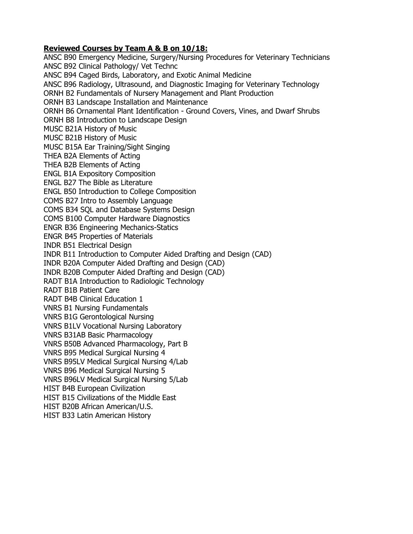#### **Reviewed Courses by Team A & B on 10/18:**

ANSC B90 Emergency Medicine, Surgery/Nursing Procedures for Veterinary Technicians ANSC B92 Clinical Pathology/ Vet Technc ANSC B94 Caged Birds, Laboratory, and Exotic Animal Medicine ANSC B96 Radiology, Ultrasound, and Diagnostic Imaging for Veterinary Technology ORNH B2 Fundamentals of Nursery Management and Plant Production ORNH B3 Landscape Installation and Maintenance ORNH B6 Ornamental Plant Identification - Ground Covers, Vines, and Dwarf Shrubs ORNH B8 Introduction to Landscape Design MUSC B21A History of Music MUSC B21B History of Music MUSC B15A Ear Training/Sight Singing THEA B2A Elements of Acting THEA B2B Elements of Acting ENGL B1A Expository Composition ENGL B27 The Bible as Literature ENGL B50 Introduction to College Composition COMS B27 Intro to Assembly Language COMS B34 SQL and Database Systems Design COMS B100 Computer Hardware Diagnostics ENGR B36 Engineering Mechanics-Statics ENGR B45 Properties of Materials INDR B51 Electrical Design INDR B11 Introduction to Computer Aided Drafting and Design (CAD) INDR B20A Computer Aided Drafting and Design (CAD) INDR B20B Computer Aided Drafting and Design (CAD) RADT B1A Introduction to Radiologic Technology RADT B1B Patient Care RADT B4B Clinical Education 1 VNRS B1 Nursing Fundamentals VNRS B1G Gerontological Nursing VNRS B1LV Vocational Nursing Laboratory VNRS B31AB Basic Pharmacology VNRS B50B Advanced Pharmacology, Part B VNRS B95 Medical Surgical Nursing 4 VNRS B95LV Medical Surgical Nursing 4/Lab VNRS B96 Medical Surgical Nursing 5 VNRS B96LV Medical Surgical Nursing 5/Lab HIST B4B European Civilization HIST B15 Civilizations of the Middle East HIST B20B African American/U.S. HIST B33 Latin American History